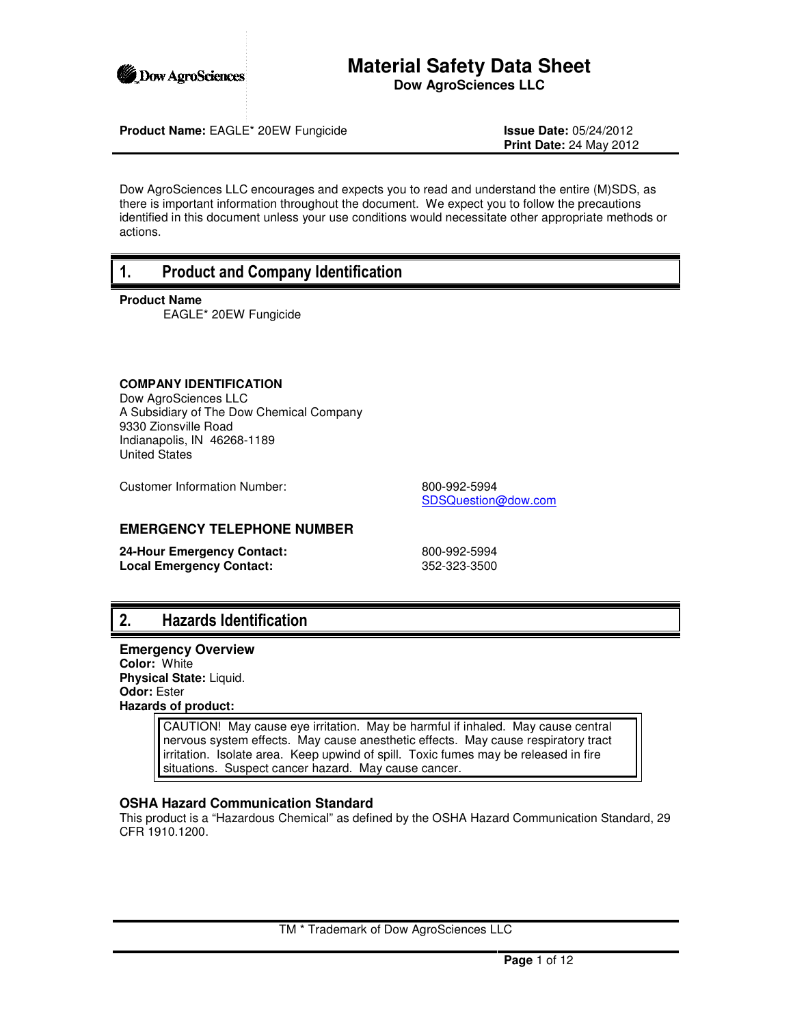

# **Material Safety Data Sheet Dow AgroSciences LLC**

**Product Name:** EAGLE\* 20EW Fungicide **Issue Date:** 05/24/2012

**Print Date:** 24 May 2012

Dow AgroSciences LLC encourages and expects you to read and understand the entire (M)SDS, as there is important information throughout the document. We expect you to follow the precautions identified in this document unless your use conditions would necessitate other appropriate methods or actions.

# 1. Product and Company Identification

**Product Name**

EAGLE\* 20EW Fungicide

## **COMPANY IDENTIFICATION**

Dow AgroSciences LLC A Subsidiary of The Dow Chemical Company 9330 Zionsville Road Indianapolis, IN 46268-1189 United States

Customer Information Number: 800-992-5994

SDSQuestion@dow.com

## **EMERGENCY TELEPHONE NUMBER**

**24-Hour Emergency Contact:** 800-992-5994<br> **Local Emergency Contact:** 352-323-3500 **Local Emergency Contact:** 

# 2. Hazards Identification

**Emergency Overview Color:** White

**Physical State:** Liquid. **Odor:** Ester **Hazards of product:**

> CAUTION! May cause eye irritation. May be harmful if inhaled. May cause central nervous system effects. May cause anesthetic effects. May cause respiratory tract irritation. Isolate area. Keep upwind of spill. Toxic fumes may be released in fire situations. Suspect cancer hazard. May cause cancer.

# **OSHA Hazard Communication Standard**

This product is a "Hazardous Chemical" as defined by the OSHA Hazard Communication Standard, 29 CFR 1910.1200.

TM \* Trademark of Dow AgroSciences LLC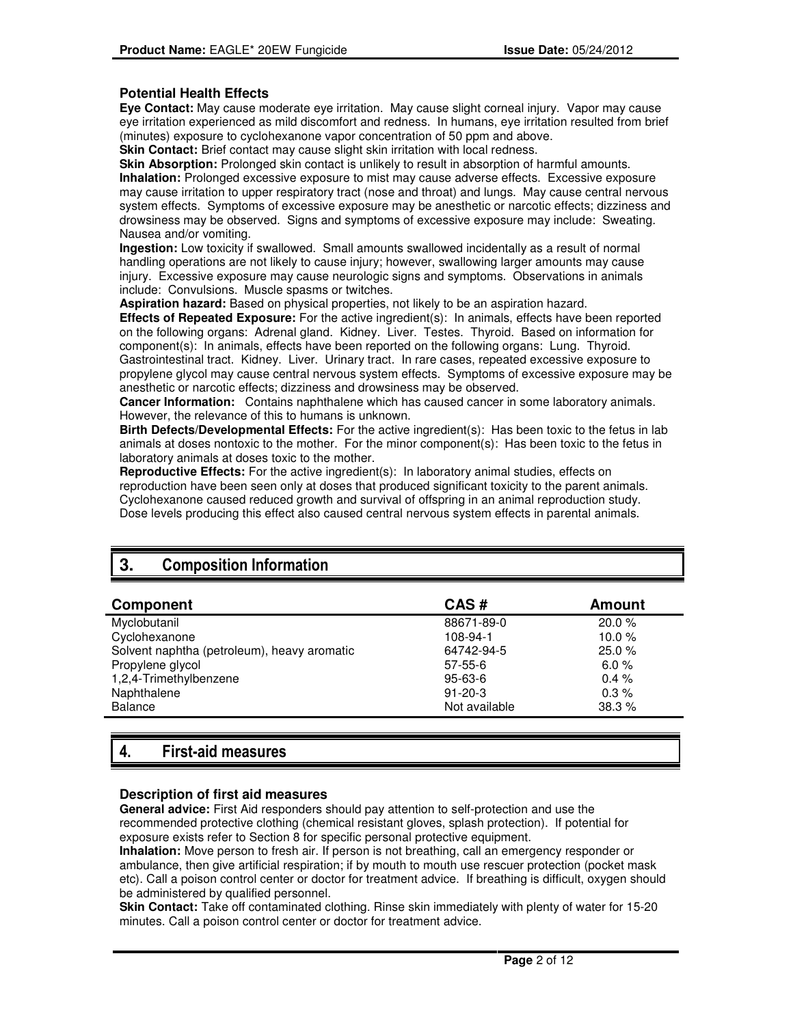## **Potential Health Effects**

**Eye Contact:** May cause moderate eye irritation. May cause slight corneal injury. Vapor may cause eye irritation experienced as mild discomfort and redness. In humans, eye irritation resulted from brief (minutes) exposure to cyclohexanone vapor concentration of 50 ppm and above.

**Skin Contact:** Brief contact may cause slight skin irritation with local redness.

**Skin Absorption:** Prolonged skin contact is unlikely to result in absorption of harmful amounts. **Inhalation:** Prolonged excessive exposure to mist may cause adverse effects. Excessive exposure may cause irritation to upper respiratory tract (nose and throat) and lungs. May cause central nervous system effects. Symptoms of excessive exposure may be anesthetic or narcotic effects; dizziness and drowsiness may be observed. Signs and symptoms of excessive exposure may include: Sweating. Nausea and/or vomiting.

**Ingestion:** Low toxicity if swallowed. Small amounts swallowed incidentally as a result of normal handling operations are not likely to cause injury; however, swallowing larger amounts may cause injury. Excessive exposure may cause neurologic signs and symptoms. Observations in animals include: Convulsions. Muscle spasms or twitches.

**Aspiration hazard:** Based on physical properties, not likely to be an aspiration hazard.

**Effects of Repeated Exposure:** For the active ingredient(s): In animals, effects have been reported on the following organs: Adrenal gland. Kidney. Liver. Testes. Thyroid. Based on information for component(s): In animals, effects have been reported on the following organs: Lung. Thyroid. Gastrointestinal tract. Kidney. Liver. Urinary tract. In rare cases, repeated excessive exposure to propylene glycol may cause central nervous system effects. Symptoms of excessive exposure may be anesthetic or narcotic effects; dizziness and drowsiness may be observed.

**Cancer Information:** Contains naphthalene which has caused cancer in some laboratory animals. However, the relevance of this to humans is unknown.

**Birth Defects/Developmental Effects:** For the active ingredient(s): Has been toxic to the fetus in lab animals at doses nontoxic to the mother. For the minor component(s): Has been toxic to the fetus in laboratory animals at doses toxic to the mother.

**Reproductive Effects:** For the active ingredient(s): In laboratory animal studies, effects on reproduction have been seen only at doses that produced significant toxicity to the parent animals. Cyclohexanone caused reduced growth and survival of offspring in an animal reproduction study. Dose levels producing this effect also caused central nervous system effects in parental animals.

# **3.** Composition Information

| Component                                   | CAS#          | <b>Amount</b> |
|---------------------------------------------|---------------|---------------|
| Myclobutanil                                | 88671-89-0    | 20.0%         |
| Cyclohexanone                               | 108-94-1      | 10.0 $%$      |
| Solvent naphtha (petroleum), heavy aromatic | 64742-94-5    | 25.0%         |
| Propylene glycol                            | $57 - 55 - 6$ | 6.0%          |
| 1,2,4-Trimethylbenzene                      | $95 - 63 - 6$ | 0.4%          |
| Naphthalene                                 | $91 - 20 - 3$ | 0.3%          |
| <b>Balance</b>                              | Not available | 38.3%         |

# 4. First-aid measures

### **Description of first aid measures**

**General advice:** First Aid responders should pay attention to self-protection and use the recommended protective clothing (chemical resistant gloves, splash protection). If potential for exposure exists refer to Section 8 for specific personal protective equipment.

**Inhalation:** Move person to fresh air. If person is not breathing, call an emergency responder or ambulance, then give artificial respiration; if by mouth to mouth use rescuer protection (pocket mask etc). Call a poison control center or doctor for treatment advice. If breathing is difficult, oxygen should be administered by qualified personnel.

**Skin Contact:** Take off contaminated clothing. Rinse skin immediately with plenty of water for 15-20 minutes. Call a poison control center or doctor for treatment advice.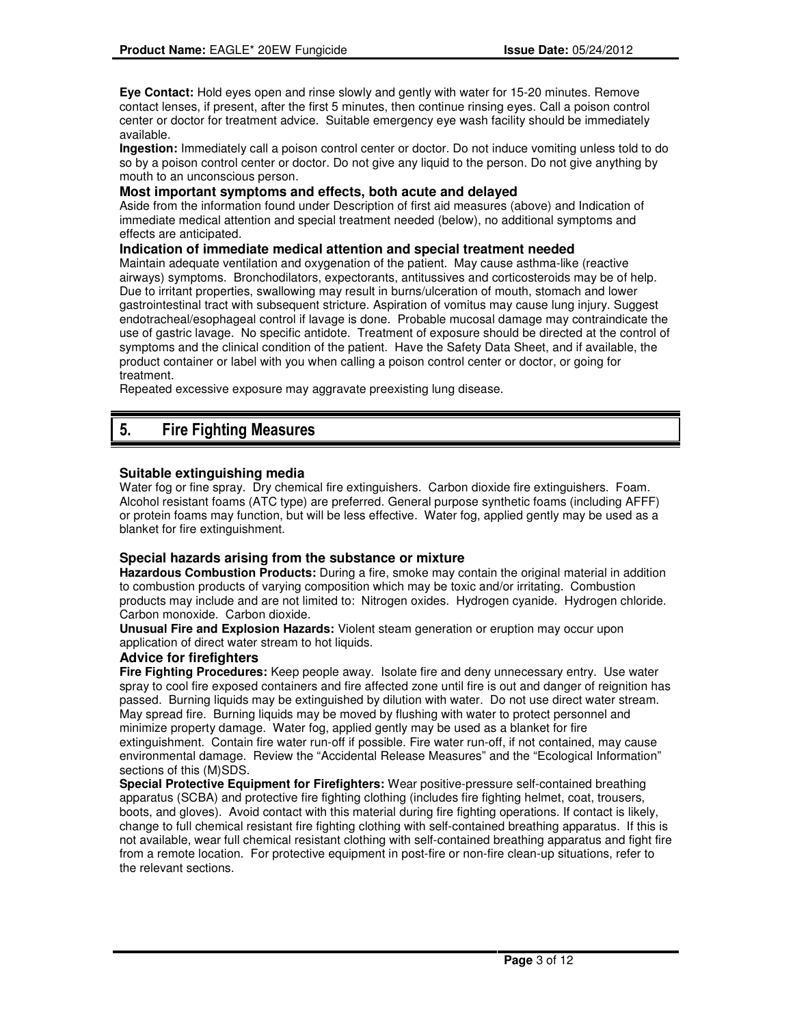**Eye Contact:** Hold eyes open and rinse slowly and gently with water for 15-20 minutes. Remove contact lenses, if present, after the first 5 minutes, then continue rinsing eyes. Call a poison control center or doctor for treatment advice. Suitable emergency eye wash facility should be immediately available.

**Ingestion:** Immediately call a poison control center or doctor. Do not induce vomiting unless told to do so by a poison control center or doctor. Do not give any liquid to the person. Do not give anything by mouth to an unconscious person.

### **Most important symptoms and effects, both acute and delayed**

Aside from the information found under Description of first aid measures (above) and Indication of immediate medical attention and special treatment needed (below), no additional symptoms and effects are anticipated.

#### **Indication of immediate medical attention and special treatment needed**

Maintain adequate ventilation and oxygenation of the patient. May cause asthma-like (reactive airways) symptoms. Bronchodilators, expectorants, antitussives and corticosteroids may be of help. Due to irritant properties, swallowing may result in burns/ulceration of mouth, stomach and lower gastrointestinal tract with subsequent stricture. Aspiration of vomitus may cause lung injury. Suggest endotracheal/esophageal control if lavage is done. Probable mucosal damage may contraindicate the use of gastric lavage. No specific antidote. Treatment of exposure should be directed at the control of symptoms and the clinical condition of the patient. Have the Safety Data Sheet, and if available, the product container or label with you when calling a poison control center or doctor, or going for treatment.

Repeated excessive exposure may aggravate preexisting lung disease.

# 5. Fire Fighting Measures

## **Suitable extinguishing media**

Water fog or fine spray. Dry chemical fire extinguishers. Carbon dioxide fire extinguishers. Foam. Alcohol resistant foams (ATC type) are preferred. General purpose synthetic foams (including AFFF) or protein foams may function, but will be less effective. Water fog, applied gently may be used as a blanket for fire extinguishment.

### **Special hazards arising from the substance or mixture**

**Hazardous Combustion Products:** During a fire, smoke may contain the original material in addition to combustion products of varying composition which may be toxic and/or irritating. Combustion products may include and are not limited to: Nitrogen oxides. Hydrogen cyanide. Hydrogen chloride. Carbon monoxide. Carbon dioxide.

**Unusual Fire and Explosion Hazards:** Violent steam generation or eruption may occur upon application of direct water stream to hot liquids.

## **Advice for firefighters**

**Fire Fighting Procedures:** Keep people away. Isolate fire and deny unnecessary entry. Use water spray to cool fire exposed containers and fire affected zone until fire is out and danger of reignition has passed. Burning liquids may be extinguished by dilution with water. Do not use direct water stream. May spread fire. Burning liquids may be moved by flushing with water to protect personnel and minimize property damage. Water fog, applied gently may be used as a blanket for fire extinguishment. Contain fire water run-off if possible. Fire water run-off, if not contained, may cause environmental damage. Review the "Accidental Release Measures" and the "Ecological Information" sections of this (M)SDS.

**Special Protective Equipment for Firefighters:** Wear positive-pressure self-contained breathing apparatus (SCBA) and protective fire fighting clothing (includes fire fighting helmet, coat, trousers, boots, and gloves). Avoid contact with this material during fire fighting operations. If contact is likely, change to full chemical resistant fire fighting clothing with self-contained breathing apparatus. If this is not available, wear full chemical resistant clothing with self-contained breathing apparatus and fight fire from a remote location. For protective equipment in post-fire or non-fire clean-up situations, refer to the relevant sections.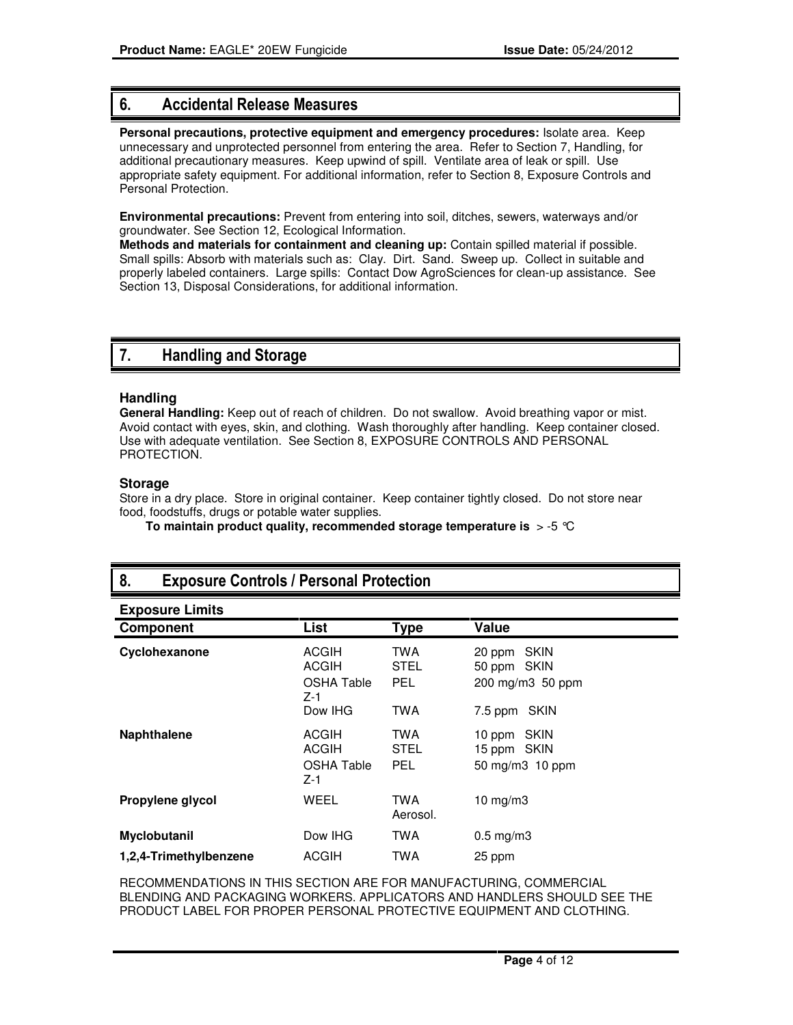# 6. Accidental Release Measures

**Personal precautions, protective equipment and emergency procedures:** Isolate area. Keep unnecessary and unprotected personnel from entering the area. Refer to Section 7, Handling, for additional precautionary measures. Keep upwind of spill. Ventilate area of leak or spill. Use appropriate safety equipment. For additional information, refer to Section 8, Exposure Controls and Personal Protection.

**Environmental precautions:** Prevent from entering into soil, ditches, sewers, waterways and/or groundwater. See Section 12, Ecological Information.

**Methods and materials for containment and cleaning up:** Contain spilled material if possible. Small spills: Absorb with materials such as: Clay. Dirt. Sand. Sweep up. Collect in suitable and properly labeled containers. Large spills: Contact Dow AgroSciences for clean-up assistance. See Section 13, Disposal Considerations, for additional information.

# 7. Handling and Storage

## **Handling**

**General Handling:** Keep out of reach of children. Do not swallow. Avoid breathing vapor or mist. Avoid contact with eyes, skin, and clothing. Wash thoroughly after handling. Keep container closed. Use with adequate ventilation. See Section 8, EXPOSURE CONTROLS AND PERSONAL PROTECTION.

## **Storage**

Store in a dry place. Store in original container. Keep container tightly closed. Do not store near food, foodstuffs, drugs or potable water supplies.

**To maintain product quality, recommended storage temperature is** > -5 °C

| v.<br><b>EXPOSUIG OUTROLS / I CISONUI I TORCONOTI</b> |                                            |                                  |                                                |
|-------------------------------------------------------|--------------------------------------------|----------------------------------|------------------------------------------------|
| <b>Exposure Limits</b>                                |                                            |                                  |                                                |
| Component                                             | List                                       | <b>Type</b>                      | Value                                          |
| Cyclohexanone                                         | ACGIH<br><b>ACGIH</b><br>OSHA Table<br>Z-1 | TWA<br><b>STEL</b><br><b>PEL</b> | 20 ppm SKIN<br>50 ppm SKIN<br>200 mg/m3 50 ppm |
|                                                       | Dow IHG                                    | <b>TWA</b>                       | 7.5 ppm SKIN                                   |
| <b>Naphthalene</b>                                    | <b>ACGIH</b><br>ACGIH<br>OSHA Table<br>Z-1 | TWA<br><b>STEL</b><br><b>PEL</b> | 10 ppm SKIN<br>15 ppm SKIN<br>50 mg/m3 10 ppm  |
| Propylene glycol                                      | WEEL                                       | TWA<br>Aerosol.                  | $10$ mg/m $3$                                  |
| <b>Myclobutanil</b><br>1,2,4-Trimethylbenzene         | Dow IHG<br>ACGIH                           | TWA<br>TWA                       | $0.5 \text{ mg/m}$ 3<br>25 ppm                 |

# 8. Exposure Controls / Personal Protection

RECOMMENDATIONS IN THIS SECTION ARE FOR MANUFACTURING, COMMERCIAL BLENDING AND PACKAGING WORKERS. APPLICATORS AND HANDLERS SHOULD SEE THE PRODUCT LABEL FOR PROPER PERSONAL PROTECTIVE EQUIPMENT AND CLOTHING.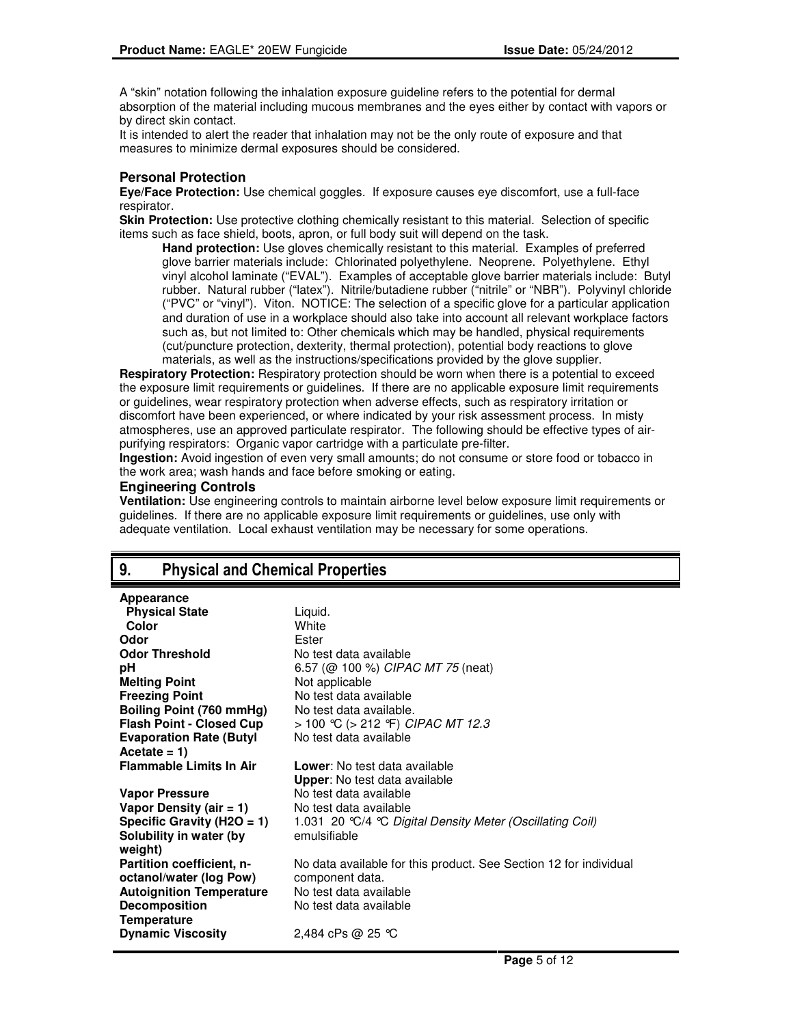A "skin" notation following the inhalation exposure guideline refers to the potential for dermal absorption of the material including mucous membranes and the eyes either by contact with vapors or by direct skin contact.

It is intended to alert the reader that inhalation may not be the only route of exposure and that measures to minimize dermal exposures should be considered.

## **Personal Protection**

**Eye/Face Protection:** Use chemical goggles. If exposure causes eye discomfort, use a full-face respirator.

**Skin Protection:** Use protective clothing chemically resistant to this material. Selection of specific items such as face shield, boots, apron, or full body suit will depend on the task.

**Hand protection:** Use gloves chemically resistant to this material. Examples of preferred glove barrier materials include: Chlorinated polyethylene. Neoprene. Polyethylene. Ethyl vinyl alcohol laminate ("EVAL"). Examples of acceptable glove barrier materials include: Butyl rubber. Natural rubber ("latex"). Nitrile/butadiene rubber ("nitrile" or "NBR"). Polyvinyl chloride ("PVC" or "vinyl"). Viton. NOTICE: The selection of a specific glove for a particular application and duration of use in a workplace should also take into account all relevant workplace factors such as, but not limited to: Other chemicals which may be handled, physical requirements (cut/puncture protection, dexterity, thermal protection), potential body reactions to glove materials, as well as the instructions/specifications provided by the glove supplier.

**Respiratory Protection:** Respiratory protection should be worn when there is a potential to exceed the exposure limit requirements or guidelines. If there are no applicable exposure limit requirements or guidelines, wear respiratory protection when adverse effects, such as respiratory irritation or discomfort have been experienced, or where indicated by your risk assessment process. In misty atmospheres, use an approved particulate respirator. The following should be effective types of airpurifying respirators: Organic vapor cartridge with a particulate pre-filter.

**Ingestion:** Avoid ingestion of even very small amounts; do not consume or store food or tobacco in the work area; wash hands and face before smoking or eating.

### **Engineering Controls**

**Appearance**

**Ventilation:** Use engineering controls to maintain airborne level below exposure limit requirements or guidelines. If there are no applicable exposure limit requirements or guidelines, use only with adequate ventilation. Local exhaust ventilation may be necessary for some operations.

# 9. Physical and Chemical Properties

| Appearance                      |                                                                   |
|---------------------------------|-------------------------------------------------------------------|
| <b>Physical State</b>           | Liquid.                                                           |
| Color                           | White                                                             |
| Odor                            | Ester                                                             |
| <b>Odor Threshold</b>           | No test data available                                            |
| рH                              | 6.57 ( $@$ 100 %) CIPAC MT 75 (neat)                              |
| <b>Melting Point</b>            | Not applicable                                                    |
| <b>Freezing Point</b>           | No test data available                                            |
| Boiling Point (760 mmHg)        | No test data available.                                           |
| <b>Flash Point - Closed Cup</b> | > 100 °C (> 212 °F) CIPAC MT 12.3                                 |
| <b>Evaporation Rate (Butyl</b>  | No test data available                                            |
| Acetate = $1)$                  |                                                                   |
| <b>Flammable Limits In Air</b>  | <b>Lower:</b> No test data available                              |
|                                 | <b>Upper:</b> No test data available                              |
| Vapor Pressure                  | No test data available                                            |
| Vapor Density (air $= 1$ )      | No test data available                                            |
| Specific Gravity (H2O = 1)      | 1.031 20 °C/4 °C Digital Density Meter (Oscillating Coil)         |
| Solubility in water (by         | emulsifiable                                                      |
| weight)                         |                                                                   |
| Partition coefficient, n-       | No data available for this product. See Section 12 for individual |
| octanol/water (log Pow)         | component data.                                                   |
| <b>Autoignition Temperature</b> | No test data available                                            |
| <b>Decomposition</b>            | No test data available                                            |
| <b>Temperature</b>              |                                                                   |
| <b>Dynamic Viscosity</b>        | 2,484 cPs @ 25 ℃                                                  |
|                                 |                                                                   |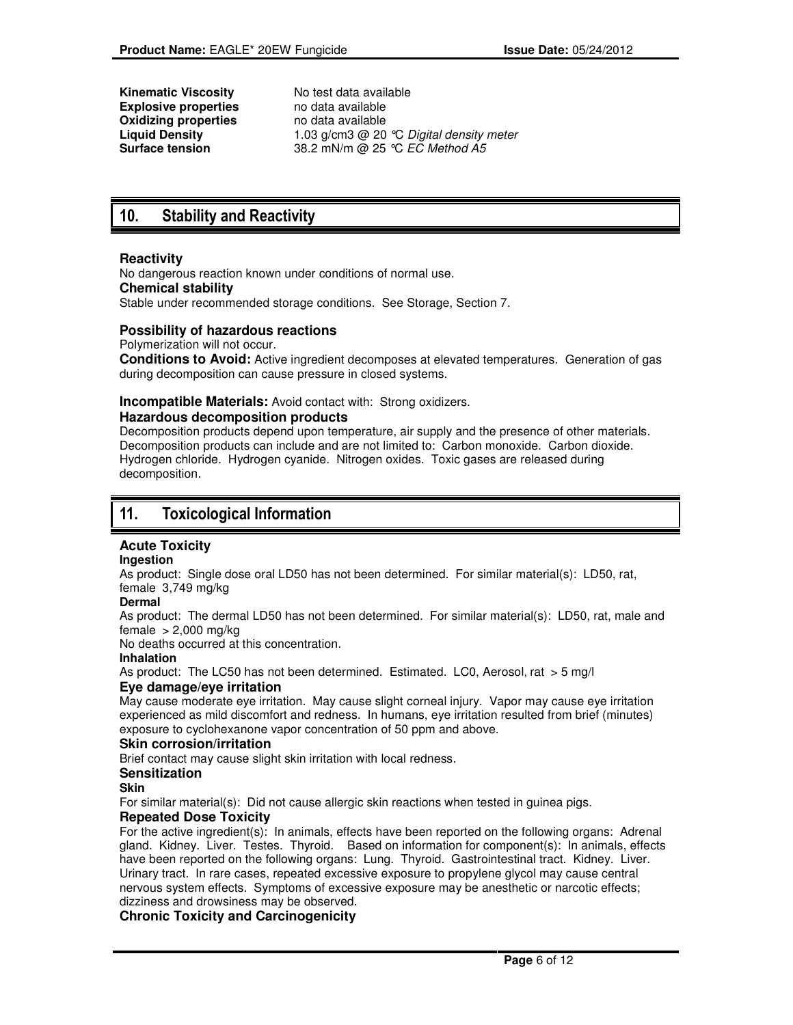**Kinematic Viscosity** No test data available<br> **Explosive properties** no data available **Explosive properties** and data available<br> **Oxidizing properties** and data available **Oxidizing properties<br>Liquid Density** 

Liquid Density **1.03** g/cm3 @ 20 °C Digital density meter<br> **Surface tension** 38.2 mN/m @ 25 °C *EC Method A5* **Surface tension** 38.2 mN/m @ 25 °C EC Method A5

# 10. Stability and Reactivity

## **Reactivity**

No dangerous reaction known under conditions of normal use. **Chemical stability** Stable under recommended storage conditions. See Storage, Section 7.

## **Possibility of hazardous reactions**

Polymerization will not occur.

**Conditions to Avoid:** Active ingredient decomposes at elevated temperatures. Generation of gas during decomposition can cause pressure in closed systems.

## **Incompatible Materials:** Avoid contact with: Strong oxidizers.

### **Hazardous decomposition products**

Decomposition products depend upon temperature, air supply and the presence of other materials. Decomposition products can include and are not limited to: Carbon monoxide. Carbon dioxide. Hydrogen chloride. Hydrogen cyanide. Nitrogen oxides. Toxic gases are released during decomposition.

# 11. Toxicological Information

## **Acute Toxicity**

### **Ingestion**

As product: Single dose oral LD50 has not been determined. For similar material(s): LD50, rat, female 3,749 mg/kg

### **Dermal**

As product: The dermal LD50 has not been determined. For similar material(s): LD50, rat, male and female  $> 2,000$  mg/kg

No deaths occurred at this concentration.

## **Inhalation**

As product: The LC50 has not been determined. Estimated. LC0, Aerosol, rat > 5 mg/l **Eye damage/eye irritation**

May cause moderate eye irritation. May cause slight corneal injury. Vapor may cause eye irritation experienced as mild discomfort and redness. In humans, eye irritation resulted from brief (minutes) exposure to cyclohexanone vapor concentration of 50 ppm and above.

### **Skin corrosion/irritation**

Brief contact may cause slight skin irritation with local redness.

### **Sensitization**

#### **Skin**

For similar material(s): Did not cause allergic skin reactions when tested in guinea pigs.

### **Repeated Dose Toxicity**

For the active ingredient(s): In animals, effects have been reported on the following organs: Adrenal gland. Kidney. Liver. Testes. Thyroid. Based on information for component(s): In animals, effects have been reported on the following organs: Lung. Thyroid. Gastrointestinal tract. Kidney. Liver. Urinary tract. In rare cases, repeated excessive exposure to propylene glycol may cause central nervous system effects. Symptoms of excessive exposure may be anesthetic or narcotic effects; dizziness and drowsiness may be observed.

## **Chronic Toxicity and Carcinogenicity**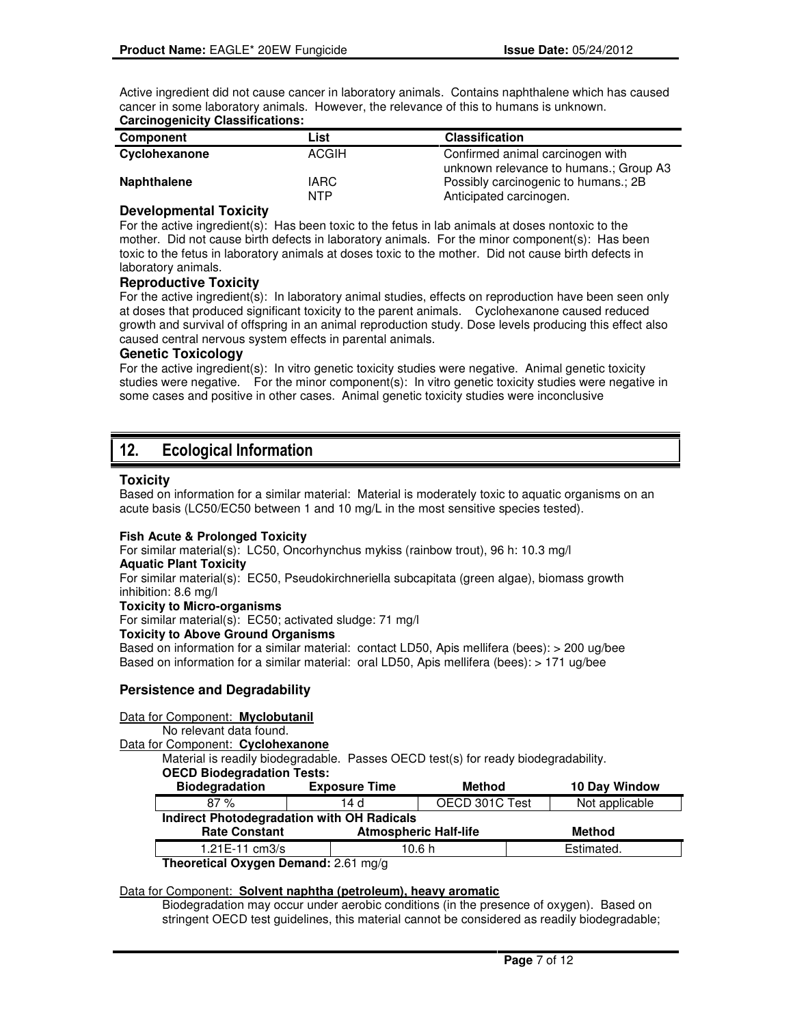Active ingredient did not cause cancer in laboratory animals. Contains naphthalene which has caused cancer in some laboratory animals. However, the relevance of this to humans is unknown. **Carcinogenicity Classifications:**

| .                  |              |                                        |
|--------------------|--------------|----------------------------------------|
| Component          | List         | <b>Classification</b>                  |
| Cyclohexanone      | <b>ACGIH</b> | Confirmed animal carcinogen with       |
|                    |              | unknown relevance to humans.; Group A3 |
| <b>Naphthalene</b> | <b>IARC</b>  | Possibly carcinogenic to humans.; 2B   |
|                    | NTP          | Anticipated carcinogen.                |

#### **Developmental Toxicity**

For the active ingredient(s): Has been toxic to the fetus in lab animals at doses nontoxic to the mother. Did not cause birth defects in laboratory animals. For the minor component(s): Has been toxic to the fetus in laboratory animals at doses toxic to the mother. Did not cause birth defects in laboratory animals.

### **Reproductive Toxicity**

For the active ingredient(s): In laboratory animal studies, effects on reproduction have been seen only at doses that produced significant toxicity to the parent animals. Cyclohexanone caused reduced growth and survival of offspring in an animal reproduction study. Dose levels producing this effect also caused central nervous system effects in parental animals.

#### **Genetic Toxicology**

For the active ingredient(s): In vitro genetic toxicity studies were negative. Animal genetic toxicity studies were negative. For the minor component(s): In vitro genetic toxicity studies were negative in some cases and positive in other cases. Animal genetic toxicity studies were inconclusive

# 12. Ecological Information

#### **Toxicity**

Based on information for a similar material: Material is moderately toxic to aquatic organisms on an acute basis (LC50/EC50 between 1 and 10 mg/L in the most sensitive species tested).

#### **Fish Acute & Prolonged Toxicity**

For similar material(s): LC50, Oncorhynchus mykiss (rainbow trout), 96 h: 10.3 mg/l

## **Aquatic Plant Toxicity**

For similar material(s): EC50, Pseudokirchneriella subcapitata (green algae), biomass growth inhibition: 8.6 mg/l

#### **Toxicity to Micro-organisms**

For similar material(s): EC50; activated sludge: 71 mg/l

### **Toxicity to Above Ground Organisms**

Based on information for a similar material:contact LD50, Apis mellifera (bees): > 200 ug/bee Based on information for a similar material:oral LD50, Apis mellifera (bees): > 171 ug/bee

### **Persistence and Degradability**

#### Data for Component: **Myclobutanil**

No relevant data found.

Data for Component: **Cyclohexanone**

Material is readily biodegradable. Passes OECD test(s) for ready biodegradability.

| <b>OECD Biodegradation Tests:</b> |  |
|-----------------------------------|--|
|-----------------------------------|--|

| <b>Biodegradation</b>                                                                                                                                               | <b>Exposure Time</b>                       | Method         | 10 Day Window  |  |  |
|---------------------------------------------------------------------------------------------------------------------------------------------------------------------|--------------------------------------------|----------------|----------------|--|--|
| 87%                                                                                                                                                                 | 14 d                                       | OECD 301C Test | Not applicable |  |  |
|                                                                                                                                                                     | Indirect Photodegradation with OH Radicals |                |                |  |  |
| <b>Atmospheric Half-life</b><br><b>Rate Constant</b><br>Method                                                                                                      |                                            |                |                |  |  |
| $1.21E-11$ cm $3/s$                                                                                                                                                 |                                            | 10.6 h         | Estimated.     |  |  |
| The construct $\bigcap_{n=1}^{\infty}$ $\bigcap_{n=1}^{\infty}$ $\bigcap_{n=1}^{\infty}$ $\bigcap_{n=1}^{\infty}$ $\bigcap_{n=1}^{\infty}$ $\bigcap_{n=1}^{\infty}$ |                                            |                |                |  |  |

**Theoretical Oxygen Demand:** 2.61 mg/g

### Data for Component: **Solvent naphtha (petroleum), heavy aromatic**

Biodegradation may occur under aerobic conditions (in the presence of oxygen). Based on stringent OECD test guidelines, this material cannot be considered as readily biodegradable;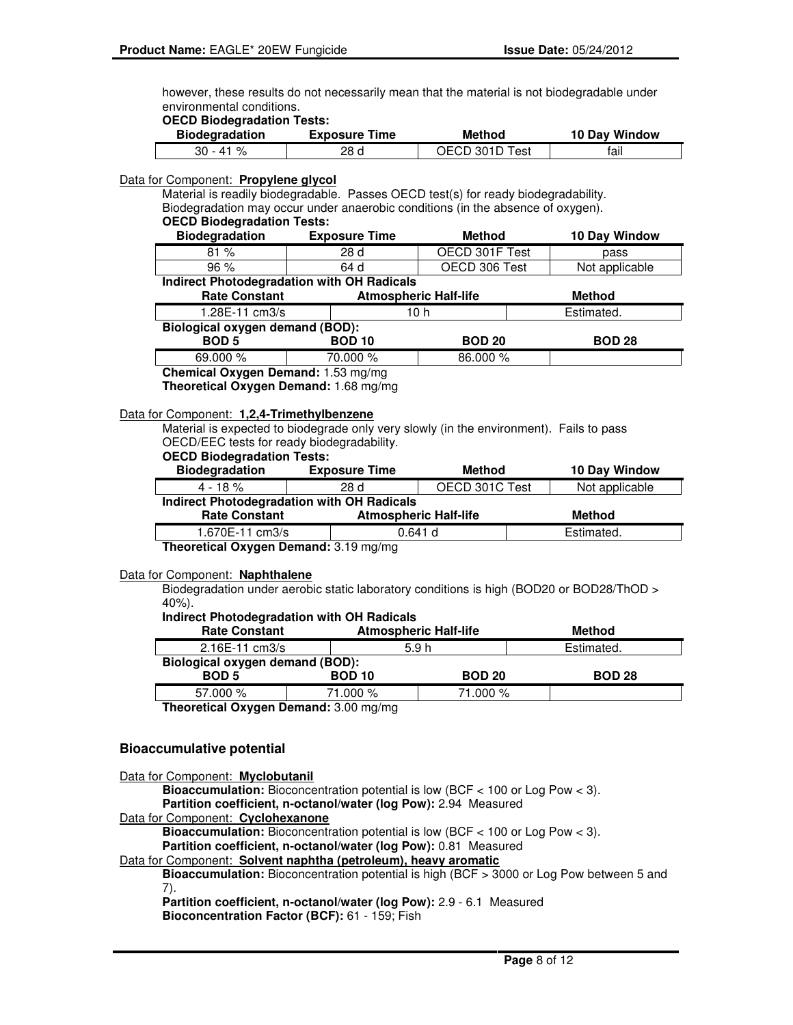however, these results do not necessarily mean that the material is not biodegradable under environmental conditions.

#### **OECD Biodegradation Tests:**

| <b>Biodegradation</b> | <b>Exposure Time</b> | Method         | 10 Day Window |
|-----------------------|----------------------|----------------|---------------|
| 30 - 41 %             | 28 d                 | OECD 301D Test | tail          |

#### Data for Component: **Propylene glycol**

Material is readily biodegradable. Passes OECD test(s) for ready biodegradability. Biodegradation may occur under anaerobic conditions (in the absence of oxygen). **OECD Biodegradation Tests:**

| <b>OLOD DIOGGIQUATION ISSIS.</b>                  |                              |                |                |  |  |
|---------------------------------------------------|------------------------------|----------------|----------------|--|--|
| <b>Biodegradation</b>                             | <b>Exposure Time</b>         | Method         | 10 Day Window  |  |  |
| 81%                                               | 28 d                         | OECD 301F Test | pass           |  |  |
| 96%                                               | 64 d                         | OECD 306 Test  | Not applicable |  |  |
| <b>Indirect Photodegradation with OH Radicals</b> |                              |                |                |  |  |
| <b>Rate Constant</b>                              | <b>Atmospheric Half-life</b> |                | <b>Method</b>  |  |  |
| 1.28E-11 cm3/s                                    |                              | 10 h           | Estimated.     |  |  |

# **Biological oxygen demand (BOD):**

| P(0, 0)<br><b>BOD 5</b> | <b>BOD 10</b> | <b>BOD 20</b> | <b>BOD 28</b> |
|-------------------------|---------------|---------------|---------------|
| 69.000 %                | 70.000 %      | 86.000 %      |               |

**Chemical Oxygen Demand:** 1.53 mg/mg

**Theoretical Oxygen Demand:** 1.68 mg/mg

#### Data for Component: **1,2,4-Trimethylbenzene**

Material is expected to biodegrade only very slowly (in the environment). Fails to pass OECD/EEC tests for ready biodegradability.

## **OECD Biodegradation Tests:**

| <b>Biodegradation</b>                                                 | <b>Exposure Time</b> | <b>Method</b>         |                |  |
|-----------------------------------------------------------------------|----------------------|-----------------------|----------------|--|
| $4 - 18 \%$                                                           | 28 d                 | OECD 301C Test        | Not applicable |  |
| <b>Indirect Photodegradation with OH Radicals</b>                     |                      |                       |                |  |
| <b>Atmospheric Half-life</b><br><b>Rate Constant</b><br><b>Method</b> |                      |                       |                |  |
| 1.670E-11 cm3/s                                                       |                      | Estimated.<br>0.641 d |                |  |
| Theoretical Oxygen Demand: 3.19 mg/mg                                 |                      |                       |                |  |

#### Data for Component: **Naphthalene**

Biodegradation under aerobic static laboratory conditions is high (BOD20 or BOD28/ThOD > 40%).

#### **Indirect Photodegradation with OH Radicals**

| <b>Rate Constant</b>                   |               | <b>Atmospheric Half-life</b> | Method        |  |
|----------------------------------------|---------------|------------------------------|---------------|--|
| $2.16E - 11$ cm $3/s$                  |               | 5.9h                         | Estimated.    |  |
| <b>Biological oxygen demand (BOD):</b> |               |                              |               |  |
| <b>BOD 5</b>                           | <b>BOD 10</b> | <b>BOD 20</b>                | <b>BOD 28</b> |  |
| 57.000 %                               | 71.000 %      | 71.000 %                     |               |  |
| — "A — "A"                             |               |                              |               |  |

**Theoretical Oxygen Demand:** 3.00 mg/mg

### **Bioaccumulative potential**

Data for Component: **Myclobutanil**

**Bioaccumulation:** Bioconcentration potential is low (BCF < 100 or Log Pow < 3). **Partition coefficient, n-octanol/water (log Pow):** 2.94 Measured

## Data for Component: **Cyclohexanone**

**Bioaccumulation:** Bioconcentration potential is low (BCF < 100 or Log Pow < 3).

**Partition coefficient, n-octanol/water (log Pow):** 0.81 Measured

Data for Component: **Solvent naphtha (petroleum), heavy aromatic**

**Bioaccumulation:** Bioconcentration potential is high (BCF > 3000 or Log Pow between 5 and 7).

**Partition coefficient, n-octanol/water (log Pow):** 2.9 - 6.1 Measured **Bioconcentration Factor (BCF):** 61 - 159; Fish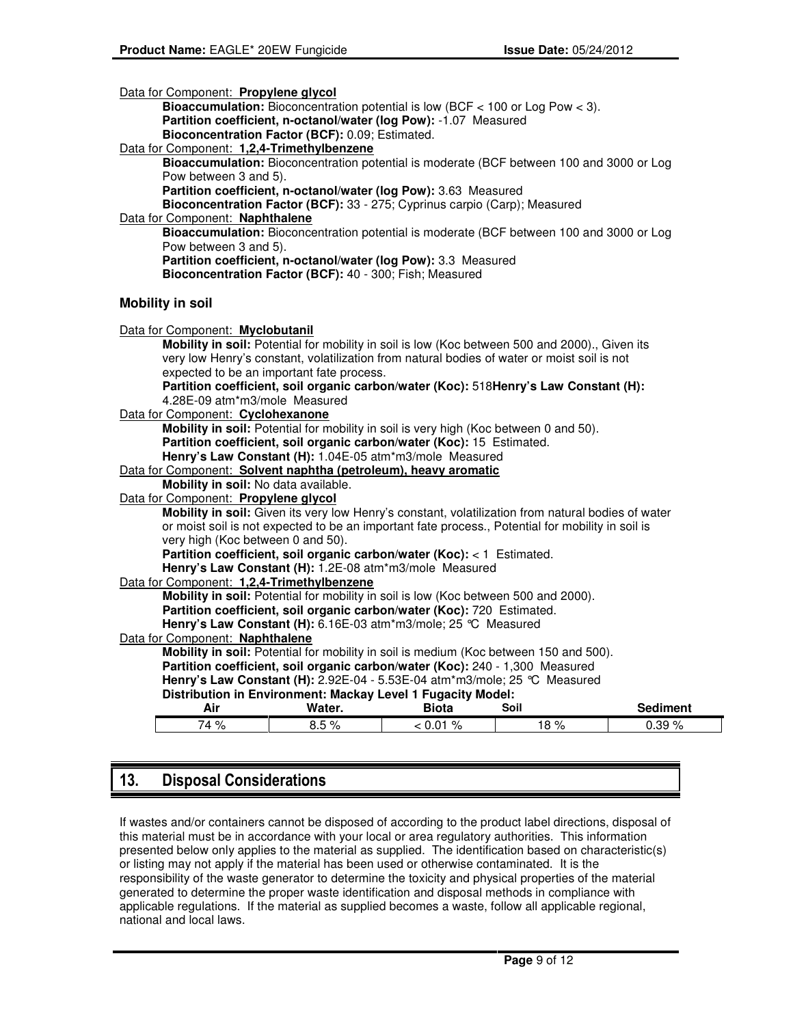| Data for Component: Propylene glycol |                                                                                           |                                                                                                                                                                |              |                                                                                                    |                 |
|--------------------------------------|-------------------------------------------------------------------------------------------|----------------------------------------------------------------------------------------------------------------------------------------------------------------|--------------|----------------------------------------------------------------------------------------------------|-----------------|
|                                      | <b>Bioaccumulation:</b> Bioconcentration potential is low (BCF $<$ 100 or Log Pow $<$ 3). |                                                                                                                                                                |              |                                                                                                    |                 |
|                                      | Partition coefficient, n-octanol/water (log Pow): -1.07 Measured                          |                                                                                                                                                                |              |                                                                                                    |                 |
|                                      |                                                                                           | Bioconcentration Factor (BCF): 0.09; Estimated.                                                                                                                |              |                                                                                                    |                 |
|                                      |                                                                                           | Data for Component: 1,2,4-Trimethylbenzene                                                                                                                     |              |                                                                                                    |                 |
|                                      |                                                                                           |                                                                                                                                                                |              | Bioaccumulation: Bioconcentration potential is moderate (BCF between 100 and 3000 or Log           |                 |
|                                      | Pow between 3 and 5).                                                                     |                                                                                                                                                                |              |                                                                                                    |                 |
|                                      |                                                                                           | Partition coefficient, n-octanol/water (log Pow): 3.63 Measured                                                                                                |              |                                                                                                    |                 |
|                                      |                                                                                           | Bioconcentration Factor (BCF): 33 - 275; Cyprinus carpio (Carp); Measured                                                                                      |              |                                                                                                    |                 |
| Data for Component: Naphthalene      |                                                                                           |                                                                                                                                                                |              | Bioaccumulation: Bioconcentration potential is moderate (BCF between 100 and 3000 or Log           |                 |
|                                      | Pow between 3 and 5).                                                                     |                                                                                                                                                                |              |                                                                                                    |                 |
|                                      |                                                                                           | Partition coefficient, n-octanol/water (log Pow): 3.3 Measured                                                                                                 |              |                                                                                                    |                 |
|                                      |                                                                                           | Bioconcentration Factor (BCF): 40 - 300; Fish; Measured                                                                                                        |              |                                                                                                    |                 |
|                                      |                                                                                           |                                                                                                                                                                |              |                                                                                                    |                 |
| <b>Mobility in soil</b>              |                                                                                           |                                                                                                                                                                |              |                                                                                                    |                 |
|                                      |                                                                                           |                                                                                                                                                                |              |                                                                                                    |                 |
| Data for Component: Myclobutanil     |                                                                                           |                                                                                                                                                                |              |                                                                                                    |                 |
|                                      |                                                                                           |                                                                                                                                                                |              | Mobility in soil: Potential for mobility in soil is low (Koc between 500 and 2000)., Given its     |                 |
|                                      |                                                                                           |                                                                                                                                                                |              | very low Henry's constant, volatilization from natural bodies of water or moist soil is not        |                 |
|                                      |                                                                                           | expected to be an important fate process.                                                                                                                      |              |                                                                                                    |                 |
|                                      |                                                                                           |                                                                                                                                                                |              | Partition coefficient, soil organic carbon/water (Koc): 518Henry's Law Constant (H):               |                 |
|                                      |                                                                                           | 4.28E-09 atm*m3/mole Measured                                                                                                                                  |              |                                                                                                    |                 |
| Data for Component: Cyclohexanone    |                                                                                           |                                                                                                                                                                |              |                                                                                                    |                 |
|                                      |                                                                                           | Mobility in soil: Potential for mobility in soil is very high (Koc between 0 and 50).<br>Partition coefficient, soil organic carbon/water (Koc): 15 Estimated. |              |                                                                                                    |                 |
|                                      |                                                                                           | Henry's Law Constant (H): 1.04E-05 atm*m3/mole Measured                                                                                                        |              |                                                                                                    |                 |
|                                      |                                                                                           | Data for Component: Solvent naphtha (petroleum), heavy aromatic                                                                                                |              |                                                                                                    |                 |
|                                      |                                                                                           | Mobility in soil: No data available.                                                                                                                           |              |                                                                                                    |                 |
| Data for Component: Propylene glycol |                                                                                           |                                                                                                                                                                |              |                                                                                                    |                 |
|                                      |                                                                                           |                                                                                                                                                                |              | Mobility in soil: Given its very low Henry's constant, volatilization from natural bodies of water |                 |
|                                      |                                                                                           |                                                                                                                                                                |              | or moist soil is not expected to be an important fate process., Potential for mobility in soil is  |                 |
|                                      |                                                                                           | very high (Koc between 0 and 50).                                                                                                                              |              |                                                                                                    |                 |
|                                      |                                                                                           | Partition coefficient, soil organic carbon/water (Koc): < 1 Estimated.                                                                                         |              |                                                                                                    |                 |
|                                      |                                                                                           | Henry's Law Constant (H): 1.2E-08 atm*m3/mole Measured                                                                                                         |              |                                                                                                    |                 |
|                                      |                                                                                           | Data for Component: 1,2,4-Trimethylbenzene                                                                                                                     |              |                                                                                                    |                 |
|                                      |                                                                                           | Mobility in soil: Potential for mobility in soil is low (Koc between 500 and 2000).                                                                            |              |                                                                                                    |                 |
|                                      |                                                                                           | Partition coefficient, soil organic carbon/water (Koc): 720 Estimated.                                                                                         |              |                                                                                                    |                 |
|                                      |                                                                                           | Henry's Law Constant (H): 6.16E-03 atm*m3/mole; 25 °C Measured                                                                                                 |              |                                                                                                    |                 |
| Data for Component: Naphthalene      |                                                                                           |                                                                                                                                                                |              |                                                                                                    |                 |
|                                      |                                                                                           |                                                                                                                                                                |              | Mobility in soil: Potential for mobility in soil is medium (Koc between 150 and 500).              |                 |
|                                      |                                                                                           | Partition coefficient, soil organic carbon/water (Koc): 240 - 1,300 Measured                                                                                   |              |                                                                                                    |                 |
|                                      |                                                                                           | Henry's Law Constant (H): 2.92E-04 - 5.53E-04 atm*m3/mole; 25 °C Measured                                                                                      |              |                                                                                                    |                 |
|                                      |                                                                                           | Distribution in Environment: Mackay Level 1 Fugacity Model:                                                                                                    |              |                                                                                                    |                 |
|                                      | Air                                                                                       | Water.                                                                                                                                                         | <b>Biota</b> | Soil                                                                                               | <b>Sediment</b> |
|                                      | 74 %                                                                                      | 8.5%                                                                                                                                                           | $0.01\%$     | 18%                                                                                                | 0.39%           |
|                                      |                                                                                           |                                                                                                                                                                |              |                                                                                                    |                 |

# 13. Disposal Considerations

If wastes and/or containers cannot be disposed of according to the product label directions, disposal of this material must be in accordance with your local or area regulatory authorities. This information presented below only applies to the material as supplied. The identification based on characteristic(s) or listing may not apply if the material has been used or otherwise contaminated. It is the responsibility of the waste generator to determine the toxicity and physical properties of the material generated to determine the proper waste identification and disposal methods in compliance with applicable regulations. If the material as supplied becomes a waste, follow all applicable regional, national and local laws.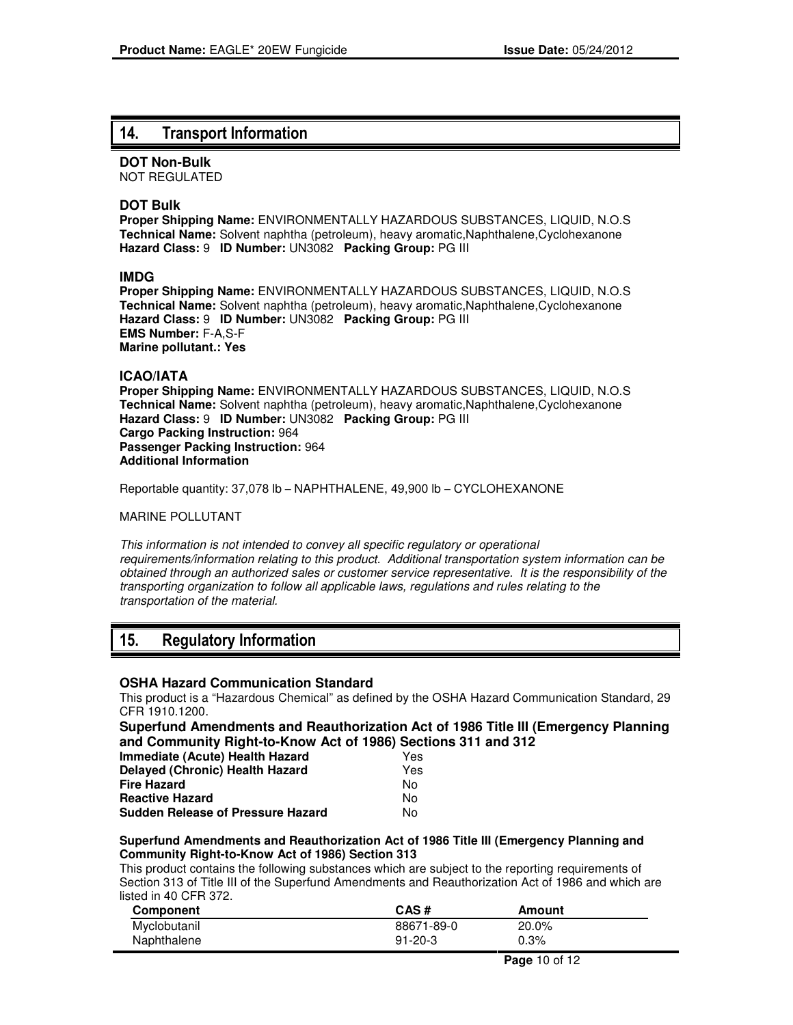# 14. Transport Information

**DOT Non-Bulk**

NOT REGULATED

## **DOT Bulk**

**Proper Shipping Name:** ENVIRONMENTALLY HAZARDOUS SUBSTANCES, LIQUID, N.O.S **Technical Name:** Solvent naphtha (petroleum), heavy aromatic,Naphthalene,Cyclohexanone **Hazard Class:** 9 **ID Number:** UN3082 **Packing Group:** PG III

### **IMDG**

**Proper Shipping Name:** ENVIRONMENTALLY HAZARDOUS SUBSTANCES, LIQUID, N.O.S **Technical Name:** Solvent naphtha (petroleum), heavy aromatic,Naphthalene,Cyclohexanone **Hazard Class:** 9 **ID Number:** UN3082 **Packing Group:** PG III **EMS Number:** F-A,S-F **Marine pollutant.: Yes**

### **ICAO/IATA**

**Proper Shipping Name:** ENVIRONMENTALLY HAZARDOUS SUBSTANCES, LIQUID, N.O.S **Technical Name:** Solvent naphtha (petroleum), heavy aromatic,Naphthalene,Cyclohexanone **Hazard Class:** 9 **ID Number:** UN3082 **Packing Group:** PG III **Cargo Packing Instruction:** 964 **Passenger Packing Instruction:** 964 **Additional Information**

Reportable quantity: 37,078 lb – NAPHTHALENE, 49,900 lb – CYCLOHEXANONE

#### MARINE POLLUTANT

This information is not intended to convey all specific regulatory or operational requirements/information relating to this product. Additional transportation system information can be obtained through an authorized sales or customer service representative. It is the responsibility of the transporting organization to follow all applicable laws, regulations and rules relating to the transportation of the material.

# 15. Regulatory Information

### **OSHA Hazard Communication Standard**

This product is a "Hazardous Chemical" as defined by the OSHA Hazard Communication Standard, 29 CFR 1910.1200.

**Superfund Amendments and Reauthorization Act of 1986 Title III (Emergency Planning and Community Right-to-Know Act of 1986) Sections 311 and 312**

| Immediate (Acute) Health Hazard          | Yes |
|------------------------------------------|-----|
| <b>Delayed (Chronic) Health Hazard</b>   | Yes |
| <b>Fire Hazard</b>                       | N٥  |
| <b>Reactive Hazard</b>                   | Nο  |
| <b>Sudden Release of Pressure Hazard</b> | N٥  |

#### **Superfund Amendments and Reauthorization Act of 1986 Title III (Emergency Planning and Community Right-to-Know Act of 1986) Section 313**

This product contains the following substances which are subject to the reporting requirements of Section 313 of Title III of the Superfund Amendments and Reauthorization Act of 1986 and which are listed in 40 CFR 372.

| Component    | CAS#          | Amount |
|--------------|---------------|--------|
| Myclobutanil | 88671-89-0    | 20.0%  |
| Naphthalene  | $91 - 20 - 3$ | 0.3%   |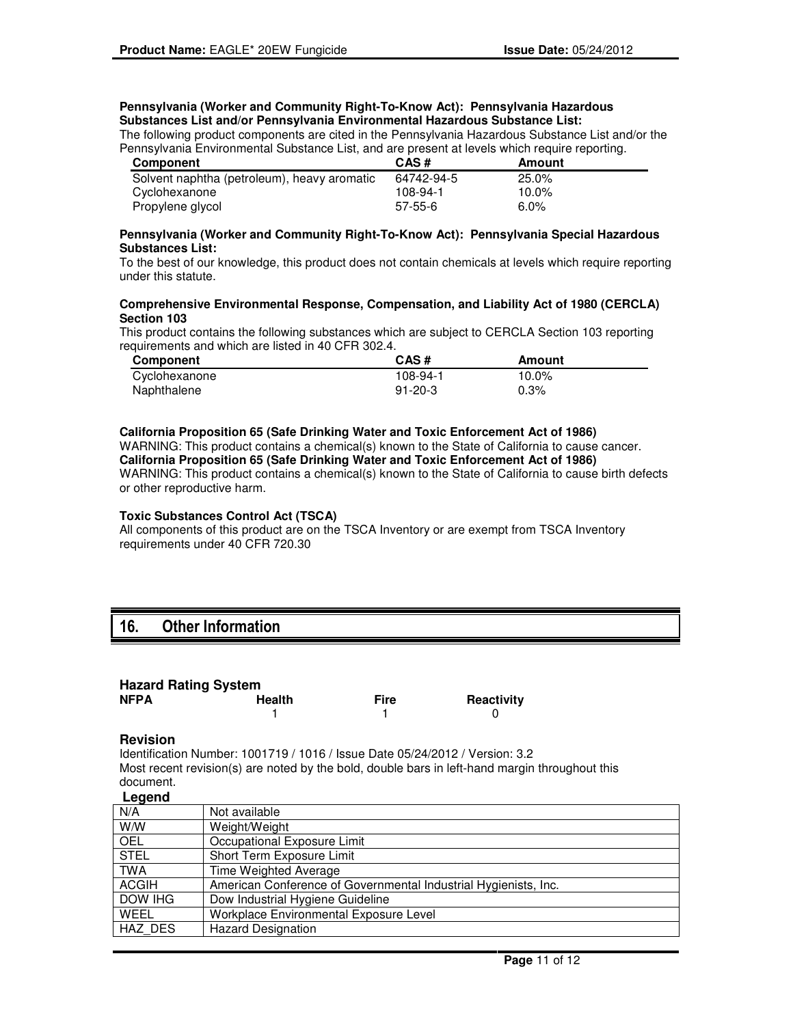#### **Pennsylvania (Worker and Community Right-To-Know Act): Pennsylvania Hazardous Substances List and/or Pennsylvania Environmental Hazardous Substance List:**

The following product components are cited in the Pennsylvania Hazardous Substance List and/or the Pennsylvania Environmental Substance List, and are present at levels which require reporting.

| Component                                   | CAS#       | Amount   |
|---------------------------------------------|------------|----------|
| Solvent naphtha (petroleum), heavy aromatic | 64742-94-5 | 25.0%    |
| Cyclohexanone                               | 108-94-1   | $10.0\%$ |
| Propylene glycol                            | $57-55-6$  | $6.0\%$  |

#### **Pennsylvania (Worker and Community Right-To-Know Act): Pennsylvania Special Hazardous Substances List:**

To the best of our knowledge, this product does not contain chemicals at levels which require reporting under this statute.

#### **Comprehensive Environmental Response, Compensation, and Liability Act of 1980 (CERCLA) Section 103**

This product contains the following substances which are subject to CERCLA Section 103 reporting requirements and which are listed in 40 CFR 302.4.

| <b>Component</b> | CAS#          | Amount |
|------------------|---------------|--------|
| Cyclohexanone    | 108-94-1      | 10.0%  |
| Naphthalene      | $91 - 20 - 3$ | 0.3%   |

#### **California Proposition 65 (Safe Drinking Water and Toxic Enforcement Act of 1986)** WARNING: This product contains a chemical(s) known to the State of California to cause cancer. **California Proposition 65 (Safe Drinking Water and Toxic Enforcement Act of 1986)** WARNING: This product contains a chemical(s) known to the State of California to cause birth defects or other reproductive harm.

#### **Toxic Substances Control Act (TSCA)**

All components of this product are on the TSCA Inventory or are exempt from TSCA Inventory requirements under 40 CFR 720.30

# 16. Other Information

# **Hazard Rating System**

| <b>NFPA</b> | <b>Health</b> | <b>Fire</b> | Reactivity |
|-------------|---------------|-------------|------------|
|             |               |             |            |

#### **Revision**

Identification Number: 1001719 / 1016 / Issue Date 05/24/2012 / Version: 3.2 Most recent revision(s) are noted by the bold, double bars in left-hand margin throughout this document.

### **Legend**

| N/A          | Not available                                                   |
|--------------|-----------------------------------------------------------------|
| W/W          | Weight/Weight                                                   |
| <b>OEL</b>   | Occupational Exposure Limit                                     |
| <b>STEL</b>  | Short Term Exposure Limit                                       |
| <b>TWA</b>   | Time Weighted Average                                           |
| <b>ACGIH</b> | American Conference of Governmental Industrial Hygienists, Inc. |
| DOW IHG      | Dow Industrial Hygiene Guideline                                |
| WEEL         | Workplace Environmental Exposure Level                          |
| HAZ DES      | <b>Hazard Designation</b>                                       |